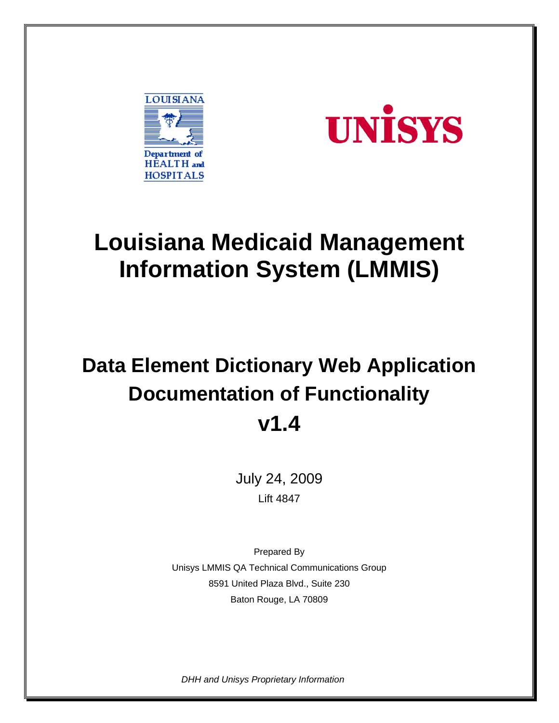



# **Louisiana Medicaid Management Information System (LMMIS)**

# **Data Element Dictionary Web Application Documentation of Functionality v1.4**

July 24, 2009 Lift 4847

Prepared By Unisys LMMIS QA Technical Communications Group 8591 United Plaza Blvd., Suite 230 Baton Rouge, LA 70809

*DHH and Unisys Proprietary Information*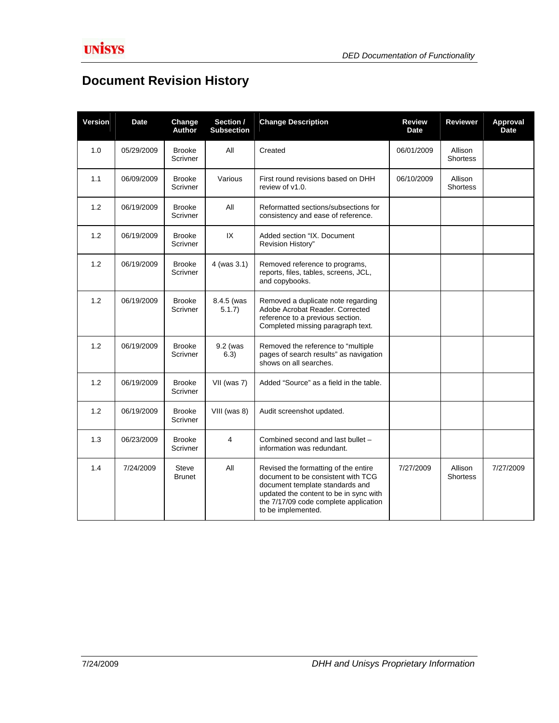### **Document Revision History**

| <b>Version</b> | <b>Date</b> | Change<br><b>Author</b>   | Section /<br><b>Subsection</b> | <b>Change Description</b>                                                                                                                                                                                              | <b>Review</b><br><b>Date</b> | <b>Reviewer</b>            | Approval<br><b>Date</b> |
|----------------|-------------|---------------------------|--------------------------------|------------------------------------------------------------------------------------------------------------------------------------------------------------------------------------------------------------------------|------------------------------|----------------------------|-------------------------|
| 1.0            | 05/29/2009  | <b>Brooke</b><br>Scrivner | All                            | Created                                                                                                                                                                                                                | 06/01/2009                   | Allison<br><b>Shortess</b> |                         |
| 1.1            | 06/09/2009  | <b>Brooke</b><br>Scrivner | Various                        | First round revisions based on DHH<br>review of v1.0.                                                                                                                                                                  | 06/10/2009                   | Allison<br><b>Shortess</b> |                         |
| 1.2            | 06/19/2009  | <b>Brooke</b><br>Scrivner | All                            | Reformatted sections/subsections for<br>consistency and ease of reference.                                                                                                                                             |                              |                            |                         |
| 1.2            | 06/19/2009  | <b>Brooke</b><br>Scrivner | IX                             | Added section "IX. Document<br>Revision History"                                                                                                                                                                       |                              |                            |                         |
| 1.2            | 06/19/2009  | <b>Brooke</b><br>Scrivner | 4 (was 3.1)                    | Removed reference to programs,<br>reports, files, tables, screens, JCL,<br>and copybooks.                                                                                                                              |                              |                            |                         |
| 1.2            | 06/19/2009  | <b>Brooke</b><br>Scrivner | 8.4.5 (was<br>5.1.7            | Removed a duplicate note regarding<br>Adobe Acrobat Reader, Corrected<br>reference to a previous section.<br>Completed missing paragraph text.                                                                         |                              |                            |                         |
| 1.2            | 06/19/2009  | <b>Brooke</b><br>Scrivner | 9.2 (was<br>6.3)               | Removed the reference to "multiple<br>pages of search results" as navigation<br>shows on all searches.                                                                                                                 |                              |                            |                         |
| 1.2            | 06/19/2009  | <b>Brooke</b><br>Scrivner | VII (was 7)                    | Added "Source" as a field in the table.                                                                                                                                                                                |                              |                            |                         |
| 1.2            | 06/19/2009  | <b>Brooke</b><br>Scrivner | VIII (was 8)                   | Audit screenshot updated.                                                                                                                                                                                              |                              |                            |                         |
| 1.3            | 06/23/2009  | <b>Brooke</b><br>Scrivner | 4                              | Combined second and last bullet -<br>information was redundant.                                                                                                                                                        |                              |                            |                         |
| 1.4            | 7/24/2009   | Steve<br><b>Brunet</b>    | All                            | Revised the formatting of the entire<br>document to be consistent with TCG<br>document template standards and<br>updated the content to be in sync with<br>the 7/17/09 code complete application<br>to be implemented. | 7/27/2009                    | Allison<br><b>Shortess</b> | 7/27/2009               |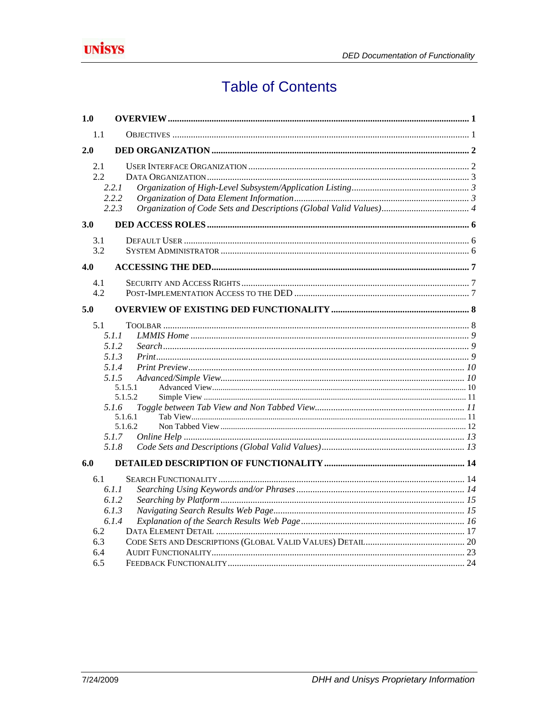

## **Table of Contents**

| 1.0               |                             |  |
|-------------------|-----------------------------|--|
| 1.1               |                             |  |
| 2.0               |                             |  |
| 2.1<br>2.2        | 2.2.1<br>2.2.2              |  |
|                   | 2.2.3                       |  |
| 3.0               |                             |  |
| 3.1<br>3.2        |                             |  |
| 4.0               |                             |  |
| 4.1<br>4.2        |                             |  |
| 5.0               |                             |  |
| 5.1               | 5.1.1<br>5.1.2              |  |
|                   | 5.1.3<br>5.1.4              |  |
|                   | 5.1.5<br>5.1.5.1<br>5.1.5.2 |  |
|                   | 5.1.6                       |  |
|                   | 5.1.6.1<br>5.1.6.2<br>5.1.7 |  |
|                   | 5.1.8                       |  |
| 6.0               |                             |  |
| 6.1               | 6.1.1<br>6.1.2              |  |
| 6.2               | 6.1.3<br>6.1.4              |  |
| 6.3<br>6.4<br>6.5 |                             |  |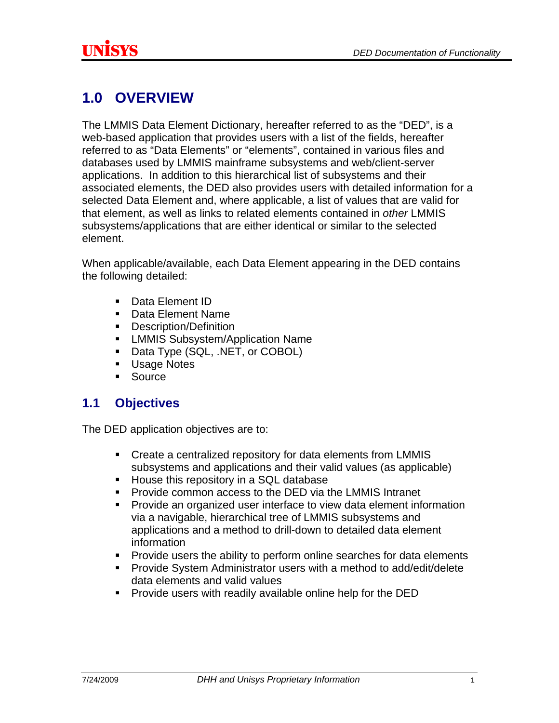## <span id="page-3-0"></span>**1.0 OVERVIEW**

The LMMIS Data Element Dictionary, hereafter referred to as the "DED", is a web-based application that provides users with a list of the fields, hereafter referred to as "Data Elements" or "elements", contained in various files and databases used by LMMIS mainframe subsystems and web/client-server applications. In addition to this hierarchical list of subsystems and their associated elements, the DED also provides users with detailed information for a selected Data Element and, where applicable, a list of values that are valid for that element, as well as links to related elements contained in *other* LMMIS subsystems/applications that are either identical or similar to the selected element.

When applicable/available, each Data Element appearing in the DED contains the following detailed:

- Data Element ID
- Data Element Name
- **Description/Definition**
- **EXECUTE:** LMMIS Subsystem/Application Name
- Data Type (SQL, .NET, or COBOL)
- **Usage Notes**
- **Source**

### **1.1 Objectives**

The DED application objectives are to:

- Create a centralized repository for data elements from LMMIS subsystems and applications and their valid values (as applicable)
- **House this repository in a SQL database**
- **Provide common access to the DED via the LMMIS Intranet**
- Provide an organized user interface to view data element information via a navigable, hierarchical tree of LMMIS subsystems and applications and a method to drill-down to detailed data element information
- **Provide users the ability to perform online searches for data elements**
- Provide System Administrator users with a method to add/edit/delete data elements and valid values
- **Provide users with readily available online help for the DED**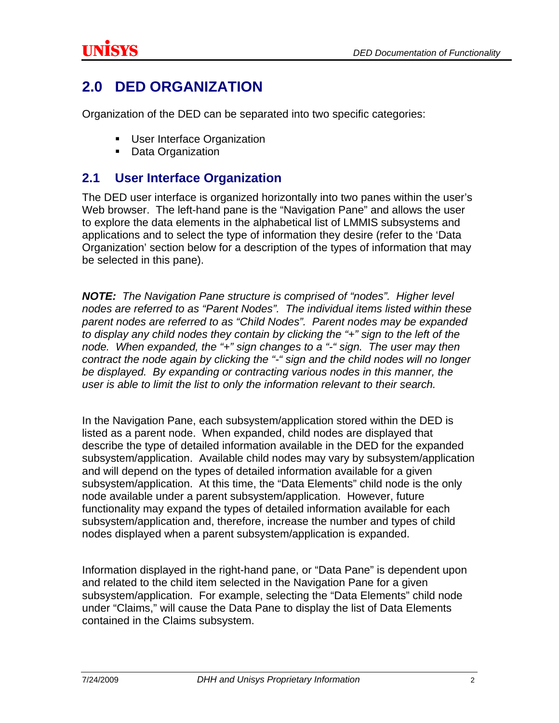### <span id="page-4-0"></span>**2.0 DED ORGANIZATION**

Organization of the DED can be separated into two specific categories:

- User Interface Organization
- Data Organization

#### **2.1 User Interface Organization**

The DED user interface is organized horizontally into two panes within the user's Web browser. The left-hand pane is the "Navigation Pane" and allows the user to explore the data elements in the alphabetical list of LMMIS subsystems and applications and to select the type of information they desire (refer to the 'Data Organization' section below for a description of the types of information that may be selected in this pane).

*NOTE: The Navigation Pane structure is comprised of "nodes". Higher level nodes are referred to as "Parent Nodes". The individual items listed within these parent nodes are referred to as "Child Nodes". Parent nodes may be expanded to display any child nodes they contain by clicking the "+" sign to the left of the node. When expanded, the "+" sign changes to a "-" sign. The user may then contract the node again by clicking the "-" sign and the child nodes will no longer be displayed. By expanding or contracting various nodes in this manner, the user is able to limit the list to only the information relevant to their search.* 

In the Navigation Pane, each subsystem/application stored within the DED is listed as a parent node. When expanded, child nodes are displayed that describe the type of detailed information available in the DED for the expanded subsystem/application. Available child nodes may vary by subsystem/application and will depend on the types of detailed information available for a given subsystem/application. At this time, the "Data Elements" child node is the only node available under a parent subsystem/application. However, future functionality may expand the types of detailed information available for each subsystem/application and, therefore, increase the number and types of child nodes displayed when a parent subsystem/application is expanded.

Information displayed in the right-hand pane, or "Data Pane" is dependent upon and related to the child item selected in the Navigation Pane for a given subsystem/application. For example, selecting the "Data Elements" child node under "Claims," will cause the Data Pane to display the list of Data Elements contained in the Claims subsystem.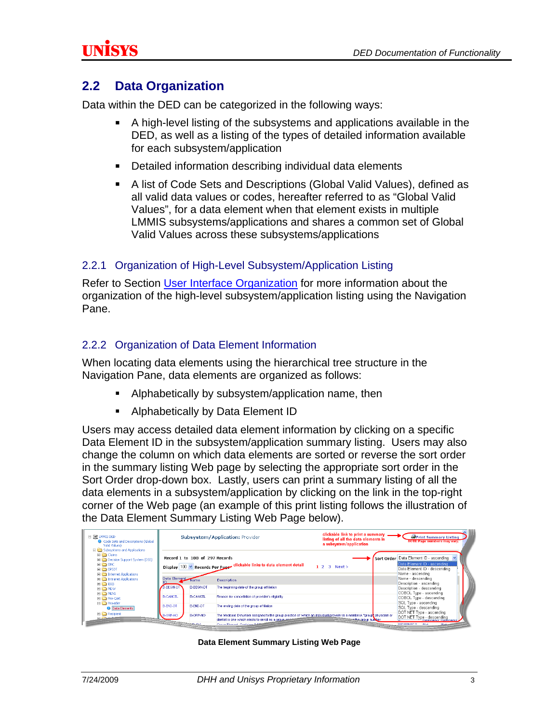### <span id="page-5-0"></span>**2.2 Data Organization**

Data within the DED can be categorized in the following ways:

- A high-level listing of the subsystems and applications available in the DED, as well as a listing of the types of detailed information available for each subsystem/application
- **Detailed information describing individual data elements**
- A list of Code Sets and Descriptions (Global Valid Values), defined as all valid data values or codes, hereafter referred to as "Global Valid Values", for a data element when that element exists in multiple LMMIS subsystems/applications and shares a common set of Global Valid Values across these subsystems/applications

#### 2.2.1 Organization of High-Level Subsystem/Application Listing

Refer to Section [User Interface Organization](#page-4-0) for more information about the organization of the high-level subsystem/application listing using the Navigation Pane.

#### 2.2.2 Organization of Data Element Information

When locating data elements using the hierarchical tree structure in the Navigation Pane, data elements are organized as follows:

- **Alphabetically by subsystem/application name, then**
- **Alphabetically by Data Element ID**

Users may access detailed data element information by clicking on a specific Data Element ID in the subsystem/application summary listing. Users may also change the column on which data elements are sorted or reverse the sort order in the summary listing Web page by selecting the appropriate sort order in the Sort Order drop-down box. Lastly, users can print a summary listing of all the data elements in a subsystem/application by clicking on the link in the top-right corner of the Web page (an example of this print listing follows the illustration of the Data Element Summary Listing Web Page below).

| 日 SP LMMIS DED<br>Code Sets and Descriptions (Global<br>Valid Values)<br><b>El Ch</b> Subsystems and Applications                                 |                                |                   | clickable link to print a summary<br><b>Subsystem/Application: Provider</b><br>listing of all the data elements in<br>a subsystem/application                                                                                        | <b>Sprint Summary Listing</b><br>HOTE Page numbers may vary.                                                                      |
|---------------------------------------------------------------------------------------------------------------------------------------------------|--------------------------------|-------------------|--------------------------------------------------------------------------------------------------------------------------------------------------------------------------------------------------------------------------------------|-----------------------------------------------------------------------------------------------------------------------------------|
| <b>El Col</b> Claims<br><b>El</b> Condition Support System (DSS)<br>$F \nightharpoonup FMC$<br>$F \nightharpoonup$ EPSDT<br>Internet Applications | Record 1 to 100 of 297 Records |                   | Display 100 V Records Per Page Clickable links to data element detail<br>$1.2.3$ Next >                                                                                                                                              | Sort Order Data Element ID - ascending<br>Data Element ID - ascending<br>Data Element ID - descending<br>Name - ascending         |
| <b>El Co</b> Intranet Applications<br>$E$ $\bigoplus$ ISIS                                                                                        | Data Element                   | <b>Name</b>       | <b>Description</b>                                                                                                                                                                                                                   | Name - descending<br>Description - ascending                                                                                      |
| <b>EL COL MOW</b><br><b>EL ELD MEVS</b>                                                                                                           | B-BEGIN-DT                     | <b>B-BEGIN-DT</b> | The beginning date of the group affiliation                                                                                                                                                                                          | Description - descending<br>COBOL Type - ascending                                                                                |
| <b>El Pre-Cert</b><br><b>El En Provider</b>                                                                                                       | <b>B-CANCEL</b>                | <b>B-CANCEL</b>   | Reason for cancellation of provider's eligibility                                                                                                                                                                                    | COBOL Type - descending<br>SQL Type - ascending                                                                                   |
| <b>O</b> Data Elements                                                                                                                            | <b>B-END-DT</b>                | <b>B-END-DT</b>   | The ending date of the group affiliation                                                                                                                                                                                             | SQL Type - descending                                                                                                             |
| <b>E Recipient</b><br>- - -                                                                                                                       | <b>B-GRP-NO</b>                | <b>B-GRP-NO</b>   | The Medicaid ID number assigned to the group practice of which an individual provider is a member.A "group physician or<br>dentist is one which elects to enroll as a group said<br>the croup number<br>Cross Rivered Contains: Bill | DOT NET Type - ascending<br>DOT NET Type - descending<br><b>CARLING MARKE</b><br>pencesiec n<br><b>Children</b><br><b>STATION</b> |

**Data Element Summary Listing Web Page**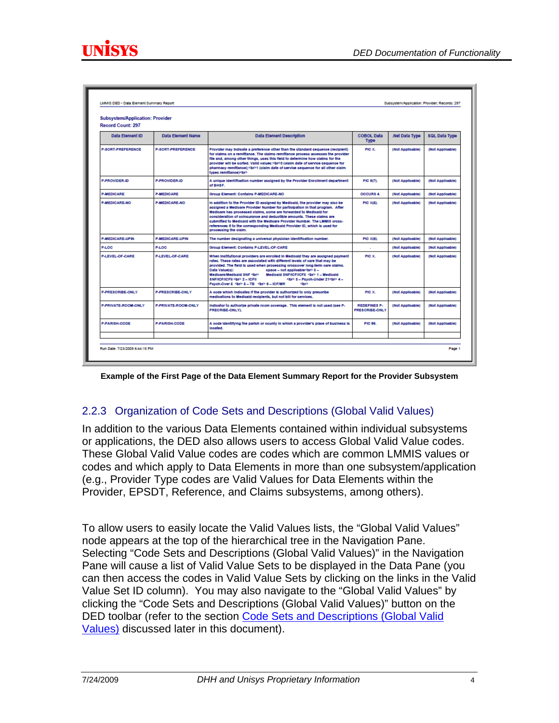<span id="page-6-0"></span>

| c | c |
|---|---|

| <b>Subsystem/Application: Provider</b><br>Record Count: 297 |                          |                                                                                                                                                                                                                                                                                                                                                                                                                                                                                                 |                                       |                  |                  |
|-------------------------------------------------------------|--------------------------|-------------------------------------------------------------------------------------------------------------------------------------------------------------------------------------------------------------------------------------------------------------------------------------------------------------------------------------------------------------------------------------------------------------------------------------------------------------------------------------------------|---------------------------------------|------------------|------------------|
| Data Element ID                                             | <b>Data Element Name</b> | <b>Data Element Description</b>                                                                                                                                                                                                                                                                                                                                                                                                                                                                 | <b>COBOL Data</b><br><b>Type</b>      | Net Data Type    | SQL Data Type    |
| <b>P-SORT-PREFERENCE</b>                                    | <b>P-SORT-PREFERENCE</b> | Provider may indicate a preference other than the ctandard cequence (recipient)<br>for claims on a remittance. The claims remittance process accesses the provider<br>file and, among other things, uses this field to determine how claims for the<br>provider will be corted. Valid values:<br>>Str>0 (olaim date of cervice cequence for<br>pharmaov remittance):< br>>br>1 (olaim date of cervice cequence for all other olaim<br>types remittancel shr>                                    | PIC X.                                | (Not Applicable) | (Not Applicable) |
| PJPROVIDERJD                                                | <b>P-PROVIDERJD</b>      | A unique identification number assigned by the Provider Enrollment department<br>of BHSF.                                                                                                                                                                                                                                                                                                                                                                                                       | PIC 9(7).                             | (Not Applicable) | (Not Applicable) |
| <b>P-MEDICARE</b>                                           | <b>P-MEDICARE</b>        | Group Element: Contains P-MEDICARE-NO                                                                                                                                                                                                                                                                                                                                                                                                                                                           | <b>OCCURS 4.</b>                      | (Not Applicable) | (Not Applicable) |
| <b>P-MEDICARE-NO</b>                                        | <b>PJMFDICAREJNO</b>     | In addition to the Provider ID assigned by Medicald, the provider may also be<br>assigned a Medicare Provider Number for participation in that program. After<br>Medioare has processed claims, some are forwarded to Medioald for<br>concideration of coincurance and deductible amounts. These claims are<br>cubmitted to Medicald with the Medicare Provider Number. The LMMIS crocc-<br>references it to the corresponding Medicald Provider ID, which is used for<br>processing the claim. | PIC X(6).                             | (Not Applicable) | (Not Applicable) |
| <b>P-MEDICARE-UPIN</b>                                      | <b>P-MEDICARE-UPIN</b>   | The number declanating a universal physiolan identification number.                                                                                                                                                                                                                                                                                                                                                                                                                             | PIC X(8).                             | (Not Applicable) | (Not Applicable) |
| <b>PLOC</b>                                                 | <b>PJLOC</b>             | Group Element: Contains P-LEVEL-OF-CARE                                                                                                                                                                                                                                                                                                                                                                                                                                                         |                                       | (Not Applicable) | (Not Applicable) |
| PJ EVEL OF CARE                                             | PJ FVEL OF CARE          | When institutional providers are enrolled in Medicald they are assigned payment<br>rates. These rates are associated with different levels of care that may be<br>provided. The field is used when processing crossover long-term care claims.<br>cpace - not applicable Or? 0 -<br>Data Value(c):<br>Medioare/Medioaid SNF Shr><br>Medicald SNF/ICF/ICFII<br>1 - Medicald<br>SNE/ICE/ICEII Sbr> 2 - ICEII<br><br>Shr> 3 = Psych-Under 21<br>                                                   | PIC X.                                | (Not Applicable) | (Not Applicable) |
| PJPRESCRIBEJONLY                                            | P-PRESCRIBE-ONLY         | A code which indicates if the provider is authorized to only prescribe<br>medications to Medicald recipients, but not bill for services.                                                                                                                                                                                                                                                                                                                                                        | PIC X.                                | (Not Applicable) | (Not Applicable) |
| P-PRIVATE-ROOM-ONLY                                         | P-PRIVATE-ROOM-ONLY      | indicator to authorize private room coverage. This element is not used (see P-<br>PRECRIBE-ONLYI.                                                                                                                                                                                                                                                                                                                                                                                               | <b>REDEFINES P.</b><br>PRESCRIBE-ONLY | (Not Applicable) | (Not Applicable) |
| P-PARISH-CODE                                               | P-PARISH-CODE            | A code identifying the parish or county in which a provider's place of business is<br>looated.                                                                                                                                                                                                                                                                                                                                                                                                  | <b>PIC 88.</b>                        | (Not Applicable) | (Not Applicable) |
|                                                             |                          |                                                                                                                                                                                                                                                                                                                                                                                                                                                                                                 |                                       |                  |                  |

**Example of the First Page of the Data Element Summary Report for the Provider Subsystem** 

#### 2.2.3 Organization of Code Sets and Descriptions (Global Valid Values)

In addition to the various Data Elements contained within individual subsystems or applications, the DED also allows users to access Global Valid Value codes. These Global Valid Value codes are codes which are common LMMIS values or codes and which apply to Data Elements in more than one subsystem/application (e.g., Provider Type codes are Valid Values for Data Elements within the Provider, EPSDT, Reference, and Claims subsystems, among others).

To allow users to easily locate the Valid Values lists, the "Global Valid Values" node appears at the top of the hierarchical tree in the Navigation Pane. Selecting "Code Sets and Descriptions (Global Valid Values)" in the Navigation Pane will cause a list of Valid Value Sets to be displayed in the Data Pane (you can then access the codes in Valid Value Sets by clicking on the links in the Valid Value Set ID column). You may also navigate to the "Global Valid Values" by clicking the "Code Sets and Descriptions (Global Valid Values)" button on the DED toolbar (refer to the section [Code Sets and Descriptions \(Global Valid](#page-15-0)  [Values\)](#page-15-0) discussed later in this document).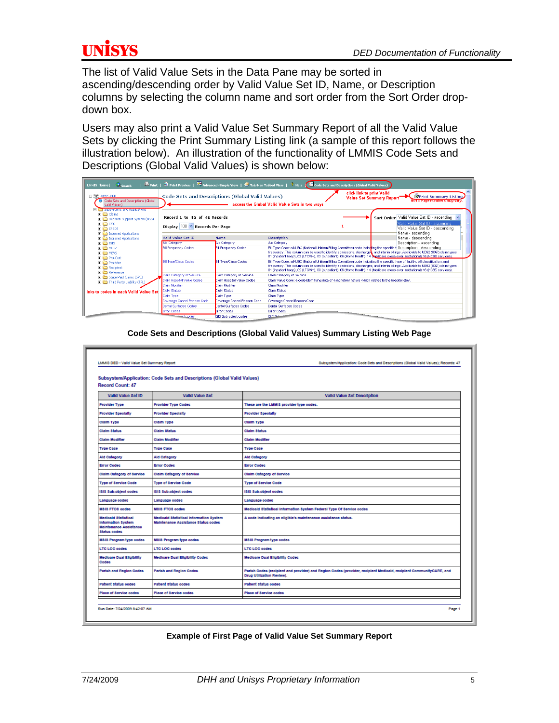The list of Valid Value Sets in the Data Pane may be sorted in ascending/descending order by Valid Value Set ID, Name, or Description columns by selecting the column name and sort order from the Sort Order dropdown box.

Users may also print a Valid Value Set Summary Report of all the Valid Value Sets by clicking the Print Summary Listing link (a sample of this report follows the illustration below). An illustration of the functionality of LMMIS Code Sets and Descriptions (Global Valid Values) is shown below:

| <b>LMMIS Home <math>\left  \right </math> Search</b>                                                                                           |                                                                |                                    | $\Box$ Print   $\Omega$ Print Preview   $\gg$ Advanced/Simple View   $\gg$ Tab/Non Tabbed View   $\Omega$ Relp ( $\Box$ Code Sets and Descriptions (Global Valid Values)                                                                                                                                                                                                                                    |                                                                                                                |
|------------------------------------------------------------------------------------------------------------------------------------------------|----------------------------------------------------------------|------------------------------------|-------------------------------------------------------------------------------------------------------------------------------------------------------------------------------------------------------------------------------------------------------------------------------------------------------------------------------------------------------------------------------------------------------------|----------------------------------------------------------------------------------------------------------------|
| EL SE LMMIS DED<br>Code Sets and Descriptions (Global<br>Valid Values)                                                                         | Code Sets and Descriptions (Global Valid Values).              |                                    | click link to print Valid<br>access the Global Valid Value Sets in two ways                                                                                                                                                                                                                                                                                                                                 | <b>Print Summary Listing</b><br><b>Value Set Summary Report</b><br><b>Nome Patientimbers may vary.</b>         |
| <b>El impoursystems and Applications</b><br>$\Box$ Claims<br><b>H Ca</b> Decision Support System (DSS)<br><b>B</b> CO EMC<br><b>FILE</b> EPSDT | Record 1 to 46 of 46 Records<br>Display 100 Y Records Per Page |                                    |                                                                                                                                                                                                                                                                                                                                                                                                             | Sort Order Valid Value Set ID - ascending<br>Valid Value Set ID - ascending<br>Valid Value Set ID - descending |
| <b>El</b> Internet Applications<br><b>El Col</b> Intranet Applications<br>$H \nightharpoonup$ ISIS                                             | Valid Value Set ID<br>Aid Category                             | <b>Name</b><br><b>Aid Category</b> | <b>Description</b><br>Aid Category                                                                                                                                                                                                                                                                                                                                                                          | Name - ascending<br>Name - descending<br>Description - ascending                                               |
| <b>FILL</b> MDW<br>E <b>C</b> MEVS<br>E Pre-Cert                                                                                               | <b>Bill Frequency Codes</b>                                    | <b>Bill Frequency Codes</b>        | Bill Type Code: a NUBC (National Uniform Billing Committee) code indicating the specific t Description - descending<br>frequency. This column can be used to identify admissions, discharget, and interim billings. Applicable to UB92 (837) claim types:<br>01 (inpatient hosp), 02 (LTC/NH), 03 (outpatient), 06 (Home Health), 14 (Medicare cross-over institutional) 16 (HCBS services)                 |                                                                                                                |
| <b>El Co</b> Provider<br>El C Recipient                                                                                                        | <b>Bill Type/Class Codes</b>                                   | <b>Bill Type/Class Codes</b>       | Bill Type Code: a NUBC (National Uniform Billing Committee) code indicating the specific type of facilty, bill classification, and<br>frequency. This column can be used to identify admissions, discharges, and interim billings. Applicable to UB92 (837I) claim types:<br>01 (inpatient hosp), 02 (LTC/NH), 03 (outpatient), 06 (Home Health), 14 (Medicare cross-over institutional) 16 (HCBS services) |                                                                                                                |
| <b>E</b> Reference<br>File State Paid Claims (SPC)                                                                                             | Claim Category of Service                                      | Claim Category of Service          | Claim Category of Service                                                                                                                                                                                                                                                                                                                                                                                   |                                                                                                                |
| File Third Party Liability (TPL)                                                                                                               | Claim Hospital Value Codes                                     | Claim Hospital Value Codes         | Claim Value Code: a code identifying data of a monetary nature which relates to the hospital stay.                                                                                                                                                                                                                                                                                                          |                                                                                                                |
|                                                                                                                                                | Claim Modifier                                                 | Claim Modifier                     | Claim Modifier                                                                                                                                                                                                                                                                                                                                                                                              |                                                                                                                |
| <b>Hinks to codes in each Valid Value Set</b>                                                                                                  | Claim Status                                                   | Claim Status                       | Claim Status                                                                                                                                                                                                                                                                                                                                                                                                |                                                                                                                |
|                                                                                                                                                | Claim Type                                                     | Claim Type                         | Claim Type                                                                                                                                                                                                                                                                                                                                                                                                  |                                                                                                                |
|                                                                                                                                                | Coverage Cancel Reason Code                                    | Coverage Cancel Reason Code        | Coverage Cancel Reason Code                                                                                                                                                                                                                                                                                                                                                                                 |                                                                                                                |
|                                                                                                                                                | Dental Surfaces Codes                                          | Dental Surfaces Codes              | <b>Dental Surfaces Codes</b>                                                                                                                                                                                                                                                                                                                                                                                |                                                                                                                |
|                                                                                                                                                | <b>Error Codes</b>                                             | <b>Error Codes</b>                 | <b>Error Codes</b>                                                                                                                                                                                                                                                                                                                                                                                          |                                                                                                                |
|                                                                                                                                                | <b>Extending Codes</b>                                         | <b>ISIS Sub-object codes</b>       | <b>KISSIA</b>                                                                                                                                                                                                                                                                                                                                                                                               |                                                                                                                |

| LMMIS DED - Valid Value Set Summary Report                                                         | Subsystem/Application: Code Sets and Descriptions (Global Valid Values)        | Subsystem/Application: Code Sets and Descriptions (Global Valid Values); Records: 47                                                            |
|----------------------------------------------------------------------------------------------------|--------------------------------------------------------------------------------|-------------------------------------------------------------------------------------------------------------------------------------------------|
| <b>Record Count: 47</b>                                                                            |                                                                                |                                                                                                                                                 |
| Valid Value Set ID                                                                                 | Valid Value Set                                                                | Valid Value Set Description                                                                                                                     |
| <b>Provider Type</b>                                                                               | <b>Provider Type Codec</b>                                                     | These are the LMMIS provider type codes.                                                                                                        |
| <b>Provider Specialty</b>                                                                          | <b>Provider Specialty</b>                                                      | <b>Provider Specialty</b>                                                                                                                       |
| <b>Claim Type</b>                                                                                  | <b>Claim Type</b>                                                              | <b>Claim Type</b>                                                                                                                               |
| Claim Status                                                                                       | Claim Status                                                                   | Claim Status                                                                                                                                    |
| <b>Claim Modifier</b>                                                                              | <b>Claim Modifier</b>                                                          | <b>Claim Modifier</b>                                                                                                                           |
| <b>Type Cace</b>                                                                                   | <b>Type Case</b>                                                               | <b>Type Case</b>                                                                                                                                |
| Ald Category                                                                                       | Ald Category                                                                   | <b>Ald Category</b>                                                                                                                             |
| <b>Error Codes</b>                                                                                 | <b>Error Codes</b>                                                             | <b>Error Codes</b>                                                                                                                              |
| Claim Category of Service                                                                          | Claim Category of Service                                                      | Claim Category of Service                                                                                                                       |
| <b>Type of Service Code</b>                                                                        | <b>Type of Service Code</b>                                                    | <b>Type of Service Code</b>                                                                                                                     |
| ISIS Sub-object codes                                                                              | 1313 Sub-object codes                                                          | ISIS Sub-object codes                                                                                                                           |
| Language codes                                                                                     | Language codes                                                                 | Language codes                                                                                                                                  |
| M&I& FTO& podec                                                                                    | MSIS FTOS ooder.                                                               | Medicald Statistical Information System Federal Type Of Service codes                                                                           |
| <b>Medicald Statistical</b><br>Information System<br><b>Maintenance Assistance</b><br>Status codes | Medicald Statistical Information System<br>Maintenance Accictance Status codes | A code indicating an eligible's maintenance assistance status.                                                                                  |
| MSIS Program type codes                                                                            | M818 Program type codes                                                        | M818 Program type oodes                                                                                                                         |
| <b>LTC LOC codes</b>                                                                               | <b>LTC LOC oodes</b>                                                           | <b>LTC LOC oodes</b>                                                                                                                            |
| <b>Medicare Dual Eligibility</b><br>Codec                                                          | <b>Medicare Dual Eligibility Codes</b>                                         | <b>Medicare Dual Eligibility Codes</b>                                                                                                          |
| Parish and Region Codes                                                                            | <b>Parish and Region Codes</b>                                                 | Parich Codec (recipient and provider) and Region Codec (provider, recipient Medicald, recipient CommunityCARE, and<br>Drug Utilization Review). |
| <b>Patient Status oodes</b>                                                                        | Patient Status codes                                                           | Patient Status codes                                                                                                                            |
| Place of Service codes                                                                             | Place of Service codes                                                         | Place of Service codes                                                                                                                          |
|                                                                                                    |                                                                                |                                                                                                                                                 |

#### **Code Sets and Descriptions (Global Valid Values) Summary Listing Web Page**

#### **Example of First Page of Valid Value Set Summary Report**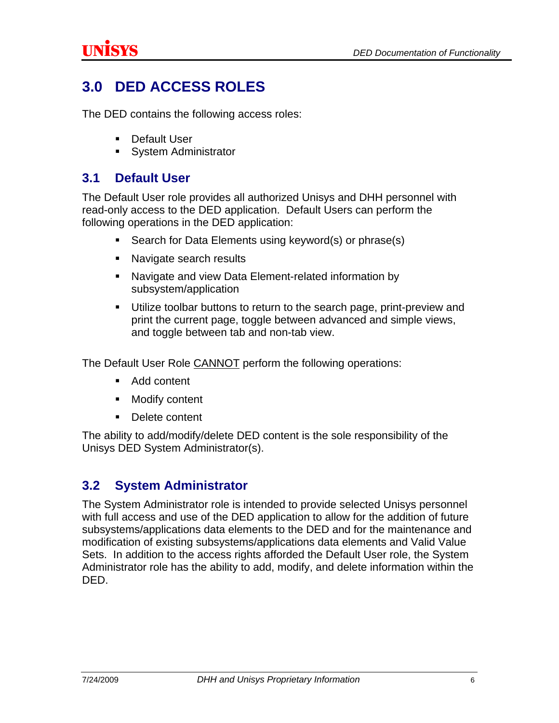## <span id="page-8-0"></span>**3.0 DED ACCESS ROLES**

The DED contains the following access roles:

- **Default User**
- **System Administrator**

#### **3.1 Default User**

The Default User role provides all authorized Unisys and DHH personnel with read-only access to the DED application. Default Users can perform the following operations in the DED application:

- Search for Data Elements using keyword(s) or phrase(s)
- Navigate search results
- Navigate and view Data Element-related information by subsystem/application
- Utilize toolbar buttons to return to the search page, print-preview and print the current page, toggle between advanced and simple views, and toggle between tab and non-tab view.

The Default User Role CANNOT perform the following operations:

- Add content
- Modify content
- Delete content

The ability to add/modify/delete DED content is the sole responsibility of the Unisys DED System Administrator(s).

### **3.2 System Administrator**

The System Administrator role is intended to provide selected Unisys personnel with full access and use of the DED application to allow for the addition of future subsystems/applications data elements to the DED and for the maintenance and modification of existing subsystems/applications data elements and Valid Value Sets. In addition to the access rights afforded the Default User role, the System Administrator role has the ability to add, modify, and delete information within the DED.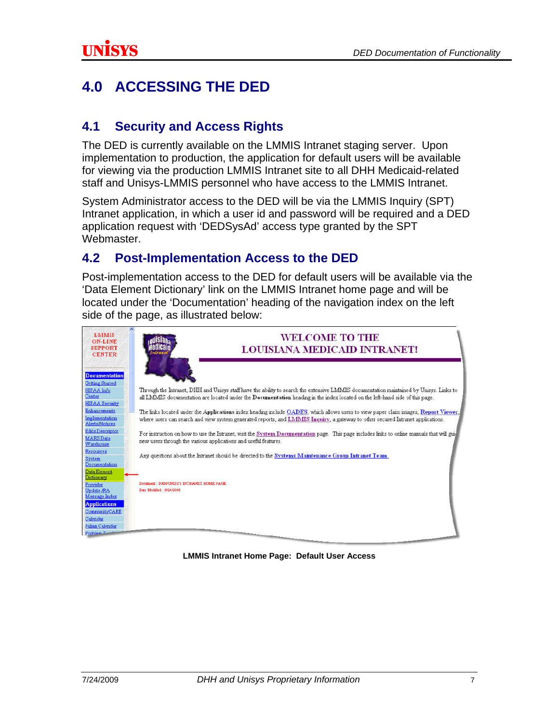## <span id="page-9-0"></span>**4.0 ACCESSING THE DED**

### **4.1 Security and Access Rights**

The DED is currently available on the LMMIS Intranet staging server. Upon implementation to production, the application for default users will be available for viewing via the production LMMIS Intranet site to all DHH Medicaid-related staff and Unisys-LMMIS personnel who have access to the LMMIS Intranet.

System Administrator access to the DED will be via the LMMIS Inquiry (SPT) Intranet application, in which a user id and password will be required and a DED application request with 'DEDSysAd' access type granted by the SPT Webmaster.

### **4.2 Post-Implementation Access to the DED**

Post-implementation access to the DED for default users will be available via the 'Data Element Dictionary' link on the LMMIS Intranet home page and will be located under the 'Documentation' heading of the navigation index on the left side of the page, as illustrated below:



**LMMIS Intranet Home Page: Default User Access**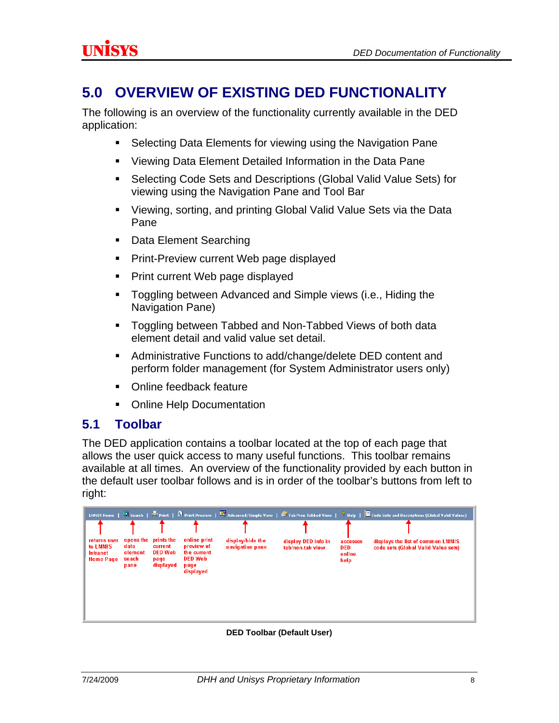### <span id="page-10-0"></span>**5.0 OVERVIEW OF EXISTING DED FUNCTIONALITY**

The following is an overview of the functionality currently available in the DED application:

- Selecting Data Elements for viewing using the Navigation Pane
- Viewing Data Element Detailed Information in the Data Pane
- Selecting Code Sets and Descriptions (Global Valid Value Sets) for viewing using the Navigation Pane and Tool Bar
- Viewing, sorting, and printing Global Valid Value Sets via the Data Pane
- **Data Element Searching**
- **Print-Preview current Web page displayed**
- Print current Web page displayed
- **Toggling between Advanced and Simple views (i.e., Hiding the** Navigation Pane)
- **Toggling between Tabbed and Non-Tabbed Views of both data** element detail and valid value set detail.
- Administrative Functions to add/change/delete DED content and perform folder management (for System Administrator users only)
- Online feedback feature
- **Online Help Documentation**

### **5.1 Toolbar**

The DED application contains a toolbar located at the top of each page that allows the user quick access to many useful functions. This toolbar remains available at all times. An overview of the functionality provided by each button in the default user toolbar follows and is in order of the toolbar's buttons from left to right:

|                                                                 |                                               |                                                       |                                                                                  |                                     |                                         |                                          | LMMIS Home   Search   Sprint   3 Print Preview   $\overline{\mathfrak{B}}$ Advanced/Simple View   Stab/Non Tabbed View   ? Help   $\overline{\mathbf{B}}$ Code Sets and Descriptions (Global Valid Values) |
|-----------------------------------------------------------------|-----------------------------------------------|-------------------------------------------------------|----------------------------------------------------------------------------------|-------------------------------------|-----------------------------------------|------------------------------------------|------------------------------------------------------------------------------------------------------------------------------------------------------------------------------------------------------------|
|                                                                 |                                               |                                                       |                                                                                  |                                     |                                         |                                          |                                                                                                                                                                                                            |
| returns user<br>to LMMIS<br><b>Intranet</b><br><b>Home Page</b> | opens the<br>data<br>element<br>seach<br>pane | prints the<br>current<br>DED Web<br>page<br>displayed | online print<br>preview of<br>the current<br><b>DED Web</b><br>page<br>displayed | display/hide the<br>navigation pane | display DED info in<br>tab/non-tab view | accesses<br><b>DED</b><br>online<br>help | displays the list of common LMMIS<br>code sets (Global Valid Value sets)                                                                                                                                   |

**DED Toolbar (Default User)**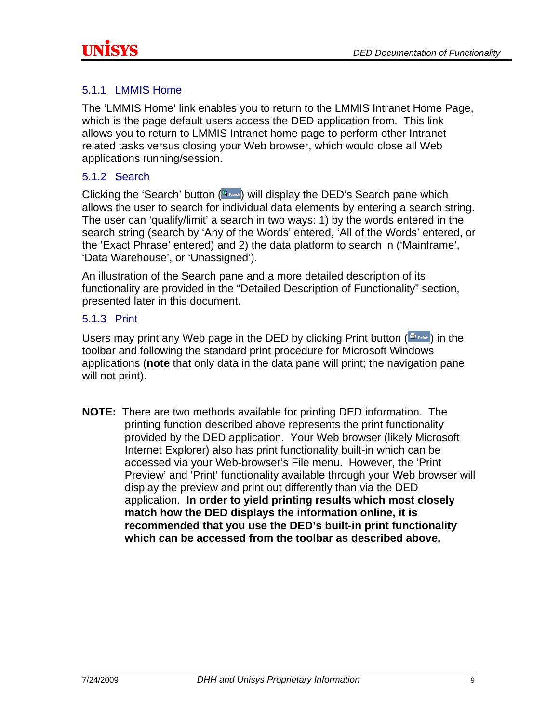<span id="page-11-0"></span>

#### 5.1.1 LMMIS Home

The 'LMMIS Home' link enables you to return to the LMMIS Intranet Home Page, which is the page default users access the DED application from. This link allows you to return to LMMIS Intranet home page to perform other Intranet related tasks versus closing your Web browser, which would close all Web applications running/session.

#### 5.1.2 Search

Clicking the 'Search' button  $(3)$  will display the DED's Search pane which allows the user to search for individual data elements by entering a search string. The user can 'qualify/limit' a search in two ways: 1) by the words entered in the search string (search by 'Any of the Words' entered, 'All of the Words' entered, or the 'Exact Phrase' entered) and 2) the data platform to search in ('Mainframe', 'Data Warehouse', or 'Unassigned').

An illustration of the Search pane and a more detailed description of its functionality are provided in the "Detailed Description of Functionality" section, presented later in this document.

#### 5.1.3 Print

Users may print any Web page in the DED by clicking Print button  $(\mathbb{B}_{\text{point}})$  in the toolbar and following the standard print procedure for Microsoft Windows applications (**note** that only data in the data pane will print; the navigation pane will not print).

**NOTE:**There are two methods available for printing DED information. The printing function described above represents the print functionality provided by the DED application. Your Web browser (likely Microsoft Internet Explorer) also has print functionality built-in which can be accessed via your Web-browser's File menu. However, the 'Print Preview' and 'Print' functionality available through your Web browser will display the preview and print out differently than via the DED application. **In order to yield printing results which most closely match how the DED displays the information online, it is recommended that you use the DED's built-in print functionality which can be accessed from the toolbar as described above.**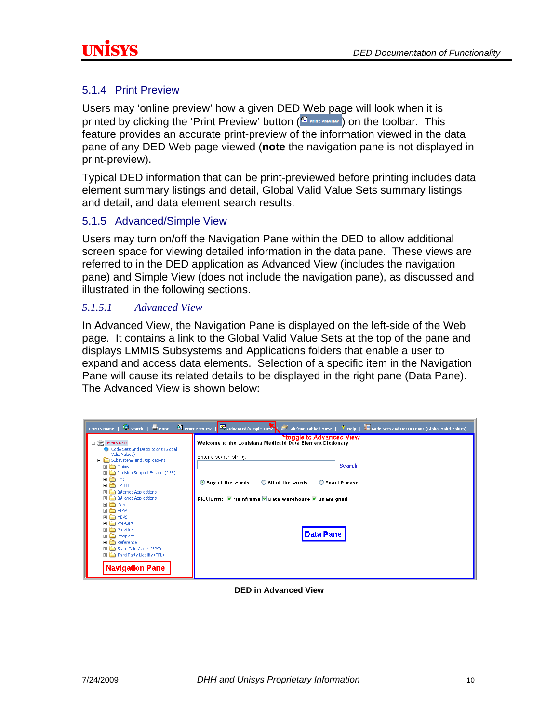<span id="page-12-0"></span>

#### 5.1.4 Print Preview

Users may 'online preview' how a given DED Web page will look when it is printed by clicking the 'Print Preview' button  $\left(\frac{R_1}{R_1}\right)$  on the toolbar. This feature provides an accurate print-preview of the information viewed in the data pane of any DED Web page viewed (**note** the navigation pane is not displayed in print-preview).

Typical DED information that can be print-previewed before printing includes data element summary listings and detail, Global Valid Value Sets summary listings and detail, and data element search results.

#### 5.1.5 Advanced/Simple View

Users may turn on/off the Navigation Pane within the DED to allow additional screen space for viewing detailed information in the data pane. These views are referred to in the DED application as Advanced View (includes the navigation pane) and Simple View (does not include the navigation pane), as discussed and illustrated in the following sections.

#### *5.1.5.1 Advanced View*

In Advanced View, the Navigation Pane is displayed on the left-side of the Web page. It contains a link to the Global Valid Value Sets at the top of the pane and displays LMMIS Subsystems and Applications folders that enable a user to expand and access data elements. Selection of a specific item in the Navigation Pane will cause its related details to be displayed in the right pane (Data Pane). The Advanced View is shown below:

| LMMIS Home   Search   U Print   9 Print Preview   9 Advanced/Simple View   2 Tab/Non Tabbed View   7 Help   B Code Sets and Descriptions (Global Valid Values)                                                                                                                                                                                                                                                                                                                                         |                                                                                                                                                                                                                                                                    |  |  |  |  |  |
|--------------------------------------------------------------------------------------------------------------------------------------------------------------------------------------------------------------------------------------------------------------------------------------------------------------------------------------------------------------------------------------------------------------------------------------------------------------------------------------------------------|--------------------------------------------------------------------------------------------------------------------------------------------------------------------------------------------------------------------------------------------------------------------|--|--|--|--|--|
| E SC LMMIS DED<br>Code Sets and Descriptions (Global<br>Valid Values)<br>□ cobsystems and Applications<br>$\boxplus$ $\Box$ Claims<br>Decision Support System (DSS)<br><b>EI EE EMC</b><br><b>EI EPSDT</b><br>Internet Applications<br>Intranet Applications<br>$\boxplus$ $\bigoplus$ ISIS<br>田 白 MDW<br><b>EI E</b> MEVS<br><b>⊞</b> Pre-Cert<br>田 □ Provider<br>$\Box$ Recipient<br><b>E</b> Reference<br>El Catate Paid Claims (SPC)<br>File Third Party Liability (TPL)<br><b>Navigation Pane</b> | *toggle to Advanced View<br>Welcome to the Louisiana Medicaid Data Element Dictionary<br>Enter a search string:<br><b>Search</b><br>All of the words<br>O Any of the words<br>C Exact Phrase<br>Platform: Mainframe Data Warehouse Dunassigned<br><b>Data Pane</b> |  |  |  |  |  |

#### **DED in Advanced View**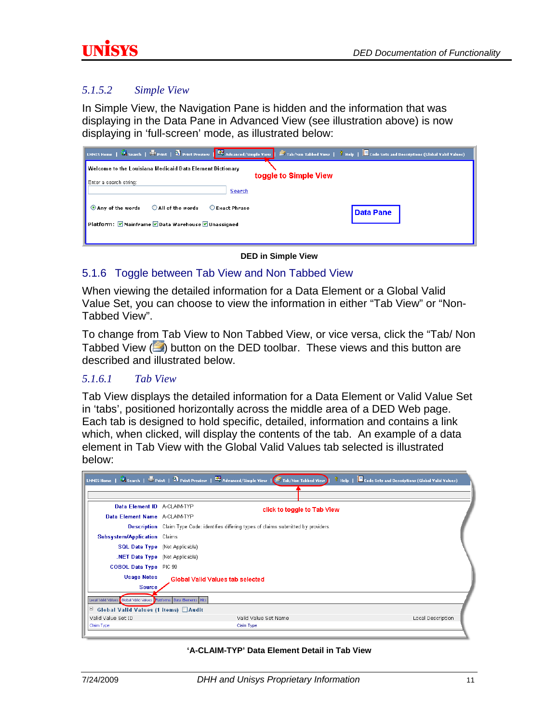#### <span id="page-13-0"></span>*5.1.5.2 Simple View*

In Simple View, the Navigation Pane is hidden and the information that was displaying in the Data Pane in Advanced View (see illustration above) is now displaying in 'full-screen' mode, as illustrated below:

|                                                                                           | EMMIS Home   Search   Eprint   3 Print Preview   27 Advanced/Simple View   Z Tab/Non Tabbed View   7 Help   Z Code Sets and Descriptions (Global Valid Values) |  |  |  |  |  |  |
|-------------------------------------------------------------------------------------------|----------------------------------------------------------------------------------------------------------------------------------------------------------------|--|--|--|--|--|--|
| <b>Welcome to the Louisiana Medicaid Data Element Dictionary</b><br>toggle to Simple View |                                                                                                                                                                |  |  |  |  |  |  |
| Enter a search string:<br><b>Search</b>                                                   |                                                                                                                                                                |  |  |  |  |  |  |
| All of the words<br><b>O</b> Exact Phrase<br>Any of the words                             | <b>Data Pane</b>                                                                                                                                               |  |  |  |  |  |  |
| Platform: Ø Mainframe Ø Data Warehouse Ø Unassigned                                       |                                                                                                                                                                |  |  |  |  |  |  |

**DED in Simple View** 

#### 5.1.6 Toggle between Tab View and Non Tabbed View

When viewing the detailed information for a Data Element or a Global Valid Value Set, you can choose to view the information in either "Tab View" or "Non-Tabbed View".

To change from Tab View to Non Tabbed View, or vice versa, click the "Tab/ Non Tabbed View  $(\Box)$  button on the DED toolbar. These views and this button are described and illustrated below.

#### *5.1.6.1 Tab View*

Tab View displays the detailed information for a Data Element or Valid Value Set in 'tabs', positioned horizontally across the middle area of a DED Web page. Each tab is designed to hold specific, detailed, information and contains a link which, when clicked, will display the contents of the tab. An example of a data element in Tab View with the Global Valid Values tab selected is illustrated below:

|                                            | LMMIS Home   $\bigotimes$ Search   $\bigotimes$ Print   $\bigotimes$ Print Preview   $\bigotimes$ Advanced/Simple View   $\bigotimes$ Tab/Non Tabbed View | $\frac{1}{3}$ Help $\frac{1}{3}$ Code Sets and Descriptions (Global Valid Values) |  |  |  |
|--------------------------------------------|-----------------------------------------------------------------------------------------------------------------------------------------------------------|-----------------------------------------------------------------------------------|--|--|--|
|                                            |                                                                                                                                                           |                                                                                   |  |  |  |
| Data Element ID A-CLAIM-TYP                |                                                                                                                                                           | click to toggle to Tab View                                                       |  |  |  |
| Data Element Name A-CLAIM-TYP              |                                                                                                                                                           |                                                                                   |  |  |  |
|                                            | <b>Description</b> Claim Type Code: identifies differing types of claims submitted by providers.                                                          |                                                                                   |  |  |  |
| <b>Subsystem/Application</b> Claims        |                                                                                                                                                           |                                                                                   |  |  |  |
| <b>SQL Data Type</b> (Not Applicable)      |                                                                                                                                                           |                                                                                   |  |  |  |
| <b>NET Data Type</b> (Not Applicable)      |                                                                                                                                                           |                                                                                   |  |  |  |
| <b>COBOL Data Type</b> PIC 99              |                                                                                                                                                           |                                                                                   |  |  |  |
| <b>Usage Notes</b>                         | <b>Global Valid Values tab selected</b>                                                                                                                   |                                                                                   |  |  |  |
| <b>Source</b>                              |                                                                                                                                                           |                                                                                   |  |  |  |
| Local Valid Values                         | Global Valid Values Platforms Data Bements Hits                                                                                                           |                                                                                   |  |  |  |
| Ε<br>Global Valid Values (1 items) □ Audit |                                                                                                                                                           |                                                                                   |  |  |  |
| Valid Value Set ID                         | Valid Value Set Name                                                                                                                                      | Local Description                                                                 |  |  |  |
| Claim Type                                 | Claim Type                                                                                                                                                |                                                                                   |  |  |  |

**'A-CLAIM-TYP' Data Element Detail in Tab View**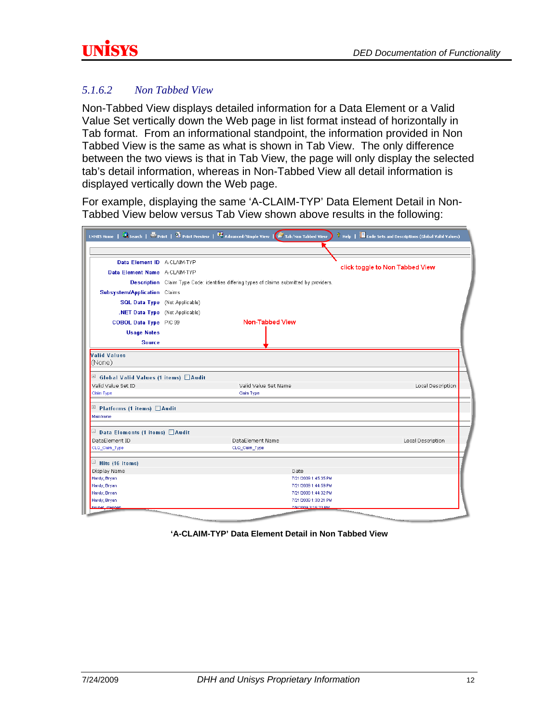### <span id="page-14-0"></span>*5.1.6.2 Non Tabbed View*

Non-Tabbed View displays detailed information for a Data Element or a Valid Value Set vertically down the Web page in list format instead of horizontally in Tab format. From an informational standpoint, the information provided in Non Tabbed View is the same as what is shown in Tab View. The only difference between the two views is that in Tab View, the page will only display the selected tab's detail information, whereas in Non-Tabbed View all detail information is displayed vertically down the Web page.

For example, displaying the same 'A-CLAIM-TYP' Data Element Detail in Non-Tabbed View below versus Tab View shown above results in the following:

| LMMIS Home $\ \cdot\ $ Search $\ \cdot\ $ Print   $\mathfrak A$ Print Preview   $\mathfrak A$ Advanced/Simple View   $\mathfrak A$ Tab/Non Tabbed View |                                                                                           |                      |                                              |                                 | <b>3</b> Help   Code Sets and Descriptions (Global Valid Values) |  |
|--------------------------------------------------------------------------------------------------------------------------------------------------------|-------------------------------------------------------------------------------------------|----------------------|----------------------------------------------|---------------------------------|------------------------------------------------------------------|--|
|                                                                                                                                                        |                                                                                           |                      |                                              |                                 |                                                                  |  |
| Data Element ID A-CLAIM-TYP                                                                                                                            |                                                                                           |                      |                                              |                                 |                                                                  |  |
| Data Element Name A-CLAIM-TYP                                                                                                                          |                                                                                           |                      |                                              | click toggle to Non Tabbed View |                                                                  |  |
|                                                                                                                                                        | Description Claim Type Code: identifies differing types of claims submitted by providers. |                      |                                              |                                 |                                                                  |  |
| <b>Subsystem/Application</b> Claims                                                                                                                    |                                                                                           |                      |                                              |                                 |                                                                  |  |
| <b>SQL Data Type</b> (Not Applicable)                                                                                                                  |                                                                                           |                      |                                              |                                 |                                                                  |  |
| .NET Data Type (Not Applicable)                                                                                                                        |                                                                                           |                      |                                              |                                 |                                                                  |  |
| <b>COBOL Data Type</b> PIC 99                                                                                                                          |                                                                                           | Non-Tabbed View      |                                              |                                 |                                                                  |  |
| <b>Usage Notes</b>                                                                                                                                     |                                                                                           |                      |                                              |                                 |                                                                  |  |
| <b>Source</b>                                                                                                                                          |                                                                                           |                      |                                              |                                 |                                                                  |  |
| <b>Valid Values</b><br>(None)                                                                                                                          |                                                                                           |                      |                                              |                                 |                                                                  |  |
| Global Valid Values (1 items) Audit<br>Valid Value Set ID                                                                                              |                                                                                           | Valid Value Set Name |                                              |                                 | Local Description                                                |  |
| Claim Type                                                                                                                                             |                                                                                           | Claim Type           |                                              |                                 |                                                                  |  |
| E<br>Platforms (1 items) □ Audit<br>Mainframe                                                                                                          |                                                                                           |                      |                                              |                                 |                                                                  |  |
| □ Data Elements (1 items) □ Audit                                                                                                                      |                                                                                           |                      |                                              |                                 |                                                                  |  |
| DataElement ID                                                                                                                                         |                                                                                           | DataElement Name     |                                              |                                 | Local Description                                                |  |
| CLQ_Claim_Type                                                                                                                                         |                                                                                           | CLQ_Claim_Type       |                                              |                                 |                                                                  |  |
| $\Box$ Hits (16 items)                                                                                                                                 |                                                                                           |                      |                                              |                                 |                                                                  |  |
| Display Name                                                                                                                                           |                                                                                           |                      | Date                                         |                                 |                                                                  |  |
| Hardy, Bryan                                                                                                                                           |                                                                                           |                      | 7/21/2009 1:45:35 PM                         |                                 |                                                                  |  |
| Hardy, Bryan<br>Hardy, Bryan                                                                                                                           |                                                                                           |                      | 7/21/2009 1:44:59 PM<br>7/21/2009 1:44:32 PM |                                 |                                                                  |  |
| Hardy, Bryan                                                                                                                                           |                                                                                           |                      | 7/21/2009 1:30:21 PM                         |                                 |                                                                  |  |
| <b>stanhan</b>                                                                                                                                         |                                                                                           |                      | 7/0/2009 3:45:23 PM                          |                                 |                                                                  |  |

**'A-CLAIM-TYP' Data Element Detail in Non Tabbed View**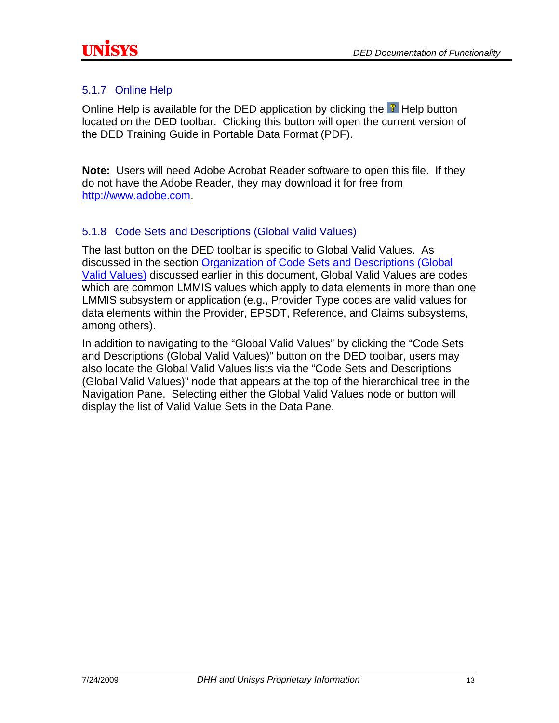<span id="page-15-0"></span>

#### 5.1.7 Online Help

Online Help is available for the DED application by clicking the  $\frac{3}{2}$  Help button located on the DED toolbar. Clicking this button will open the current version of the DED Training Guide in Portable Data Format (PDF).

**Note:** Users will need Adobe Acrobat Reader software to open this file. If they do not have the Adobe Reader, they may download it for free from [http://www.adobe.com.](http://www.adobe.com/)

#### 5.1.8 Code Sets and Descriptions (Global Valid Values)

The last button on the DED toolbar is specific to Global Valid Values. As discussed in the section [Organization of Code Sets and Descriptions \(Global](#page-6-0)  [Valid Values\)](#page-6-0) discussed earlier in this document, Global Valid Values are codes which are common LMMIS values which apply to data elements in more than one LMMIS subsystem or application (e.g., Provider Type codes are valid values for data elements within the Provider, EPSDT, Reference, and Claims subsystems, among others).

In addition to navigating to the "Global Valid Values" by clicking the "Code Sets and Descriptions (Global Valid Values)" button on the DED toolbar, users may also locate the Global Valid Values lists via the "Code Sets and Descriptions (Global Valid Values)" node that appears at the top of the hierarchical tree in the Navigation Pane. Selecting either the Global Valid Values node or button will display the list of Valid Value Sets in the Data Pane.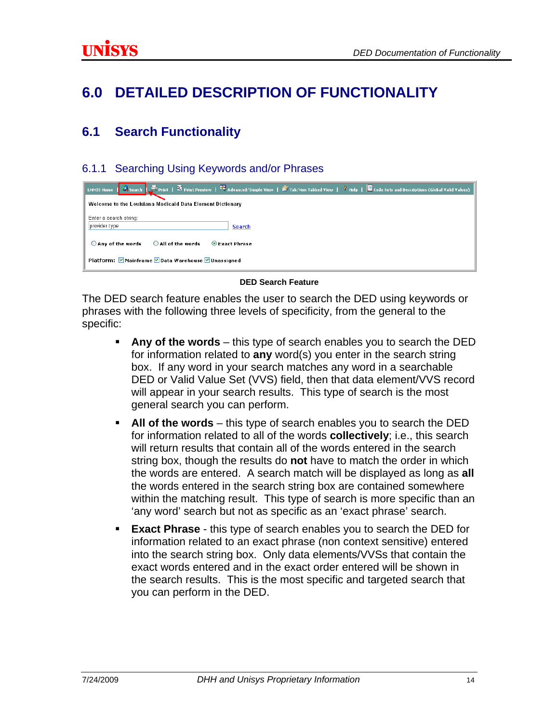### <span id="page-16-0"></span>**6.0 DETAILED DESCRIPTION OF FUNCTIONALITY**

### **6.1 Search Functionality**

#### 6.1.1 Searching Using Keywords and/or Phrases

| LMMIS Home   <b>G</b> Search   S Print   <b>G</b> Print Preview   <sup>G</sup> Advanced/Simple View   $\mathcal{\tilde{E}}$ Tab/Non Tabbed View   3 Help   <b>B</b> Code Sets and Descriptions (Global Valid Values) <sub> </sub> |
|-----------------------------------------------------------------------------------------------------------------------------------------------------------------------------------------------------------------------------------|
| Welcome to the Louisiana Medicaid Data Element Dictionary                                                                                                                                                                         |
| Enter a search string:<br>provider type<br><b>Search</b>                                                                                                                                                                          |
| All of the words<br>$\bigcirc$ Any of the words<br><b>O</b> Exact Phrase                                                                                                                                                          |
| Platform: Ø Mainframe Ø Data Warehouse Ø Unassigned                                                                                                                                                                               |

#### **DED Search Feature**

The DED search feature enables the user to search the DED using keywords or phrases with the following three levels of specificity, from the general to the specific:

- **Any of the words** this type of search enables you to search the DED for information related to **any** word(s) you enter in the search string box. If any word in your search matches any word in a searchable DED or Valid Value Set (VVS) field, then that data element/VVS record will appear in your search results. This type of search is the most general search you can perform.
- **All of the words** this type of search enables you to search the DED for information related to all of the words **collectively**; i.e., this search will return results that contain all of the words entered in the search string box, though the results do **not** have to match the order in which the words are entered. A search match will be displayed as long as **all** the words entered in the search string box are contained somewhere within the matching result. This type of search is more specific than an 'any word' search but not as specific as an 'exact phrase' search.
- **Exact Phrase** this type of search enables you to search the DED for information related to an exact phrase (non context sensitive) entered into the search string box. Only data elements/VVSs that contain the exact words entered and in the exact order entered will be shown in the search results. This is the most specific and targeted search that you can perform in the DED.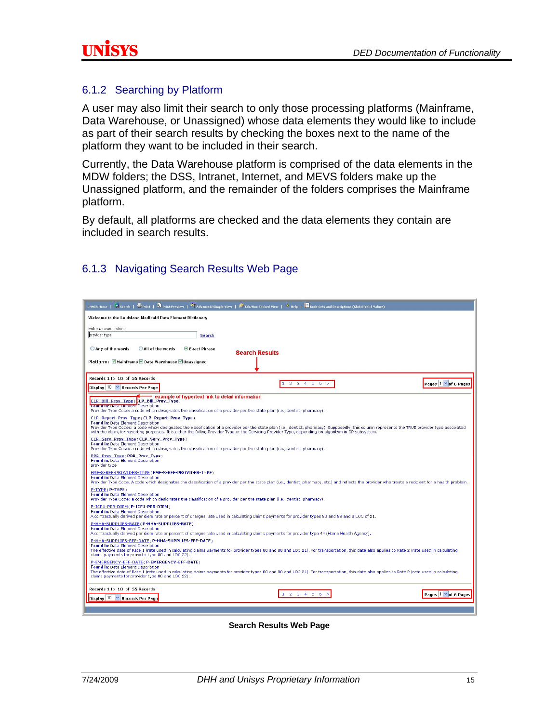#### <span id="page-17-0"></span>6.1.2 Searching by Platform

A user may also limit their search to only those processing platforms (Mainframe, Data Warehouse, or Unassigned) whose data elements they would like to include as part of their search results by checking the boxes next to the name of the platform they want to be included in their search.

Currently, the Data Warehouse platform is comprised of the data elements in the MDW folders; the DSS, Intranet, Internet, and MEVS folders make up the Unassigned platform, and the remainder of the folders comprises the Mainframe platform.

By default, all platforms are checked and the data elements they contain are included in search results.

| $\circ$ Search   $\bullet$ Print   $\circledR$ Print Preview   $\circledR$ Advanced/Simple View   $\circledR$ Tab/Non Tabbed View   $\circledR$ Relp   $\Box$ Code Sets and Descriptions (Global Valid Values)<br><b>LMMIS Home</b>                                                                                                                                                                                                             |
|-------------------------------------------------------------------------------------------------------------------------------------------------------------------------------------------------------------------------------------------------------------------------------------------------------------------------------------------------------------------------------------------------------------------------------------------------|
| Welcome to the Louisiana Medicaid Data Element Dictionary                                                                                                                                                                                                                                                                                                                                                                                       |
| Enter a search string:<br>provider type<br><b>Search</b>                                                                                                                                                                                                                                                                                                                                                                                        |
| All of the words<br>○ Any of the words<br>Exact Phrase<br><b>Search Results</b>                                                                                                                                                                                                                                                                                                                                                                 |
| Platform: ØMainframe ØData Warehouse ØUnassigned                                                                                                                                                                                                                                                                                                                                                                                                |
| Records 1 to 10 of 55 Records<br>×                                                                                                                                                                                                                                                                                                                                                                                                              |
| Pages 1 v of 6 Pages<br>$2 \t3 \t4 \t5$<br>$\mathbf{1}$<br>6<br>Display 10 Y Records Per Page                                                                                                                                                                                                                                                                                                                                                   |
| example of hypertext link to detail information<br>CLP Bill Prov Type (CLP Bill Prov Type)<br>Foundam Date Element Description<br>Provider Type Code: a code which designates the classification of a provider per the state plan (i.e., dentist, pharmacy).                                                                                                                                                                                    |
| CLP Report Prov Type (CLP Report Prov Type)<br>Found in: Data Element Description<br>Provider Type Codes: a code which designates the classification of a provider per the state plan (i.e., dentist, pharmacy), Supposedly, this column represents the TRUE provider type associated<br>with the claim, for reporting purposes. It is either the Billing Provider Type or the Servicing Provider Type, depending on algorithm in CP subsystem. |
| CLP Serv Prov Type (CLP Serv Prov Type)<br>Found in: Data Element Description<br>Provider Type Code: a code which designates the classification of a provider per the state plan (i.e., dentist, pharmacy).                                                                                                                                                                                                                                     |
| PRB Prov Type (PRB Prov Type)<br><b>Found in: Data Element Description</b><br>provider type                                                                                                                                                                                                                                                                                                                                                     |
| EMF-S-REF-PROVIDER-TYPE / EMF-S-REF-PROVIDER-TYPE)<br>Found in: Data Element Description<br>Provider Type Code. A code which designates the classification of a provider per the state plan (i.e., dentist, pharmacy, etc.) and reflects the provider who treats a recipient for a health problem.                                                                                                                                              |
| P-TYPE(P-TYPE)<br>Found in: Data Element Description<br>Provider Type Code: a code which designates the classification of a provider per the state plan (i.e., dentist, pharmacy).                                                                                                                                                                                                                                                              |
| P-ICF1-PER-DIEM / P-ICF1-PER-DIEM)<br><b>Found in: Data Element Description</b><br>A contractually derived per diem rate or percent of charges rate used in calculating claims payments for provider types 80 and 88 and a LOC of 21.                                                                                                                                                                                                           |
| P-HHA-SUPPLIES-RATE (P-HHA-SUPPLIES-RATE)<br>Found in: Data Element Description<br>A contractually derived per diem rate or percent of charges rate used in calculating claims payments for provider type 44 (Home Health Agency).                                                                                                                                                                                                              |
| P-HHA-SUPPLIES-EFF-DATE (P-HHA-SUPPLIES-EFF-DATE)<br>Found in: Data Element Description<br>The effective date of Rate 1 (rate used in calculating claims payments for provider types 80 and 88 and LOC 21). For transportation, this date also applies to Rate 2 (rate used in calculating<br>claims payments for provider type 80 and LOC 22).                                                                                                 |
| P-EMERGENCY-EFF-DATE (P-EMERGENCY-EFF-DATE)<br>Found in: Data Element Description<br>The effective date of Rate 1 (rate used in calculating claims payments for provider types 80 and 88 and LOC 21). For transportation, this date also applies to Rate 2 (rate used in calculating<br>claims payments for provider type 80 and LOC 22).                                                                                                       |
| Records 1 to 10 of 55 Records<br>1 2 3 4 5 6<br>Pages $1 \times$ of 6 Pages<br>Display 10 Y Records Per Page                                                                                                                                                                                                                                                                                                                                    |
|                                                                                                                                                                                                                                                                                                                                                                                                                                                 |

#### 6.1.3 Navigating Search Results Web Page

**Search Results Web Page**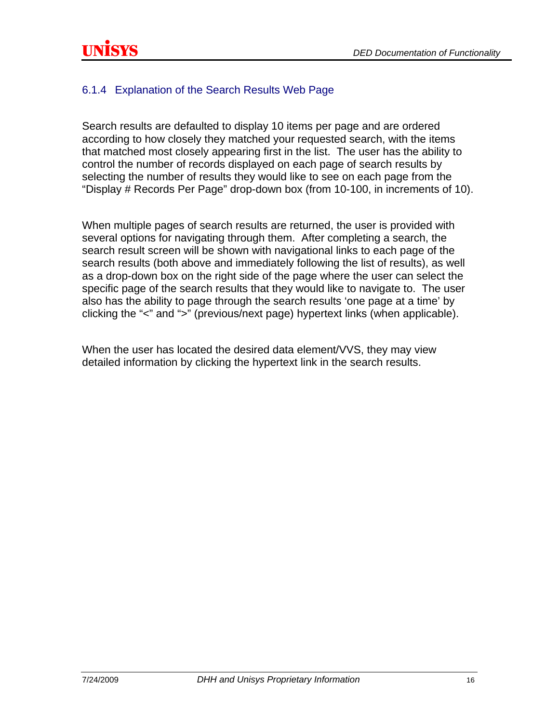### <span id="page-18-0"></span>6.1.4 Explanation of the Search Results Web Page

Search results are defaulted to display 10 items per page and are ordered according to how closely they matched your requested search, with the items that matched most closely appearing first in the list. The user has the ability to control the number of records displayed on each page of search results by selecting the number of results they would like to see on each page from the "Display # Records Per Page" drop-down box (from 10-100, in increments of 10).

When multiple pages of search results are returned, the user is provided with several options for navigating through them. After completing a search, the search result screen will be shown with navigational links to each page of the search results (both above and immediately following the list of results), as well as a drop-down box on the right side of the page where the user can select the specific page of the search results that they would like to navigate to. The user also has the ability to page through the search results 'one page at a time' by clicking the "<" and ">" (previous/next page) hypertext links (when applicable).

When the user has located the desired data element/VVS, they may view detailed information by clicking the hypertext link in the search results.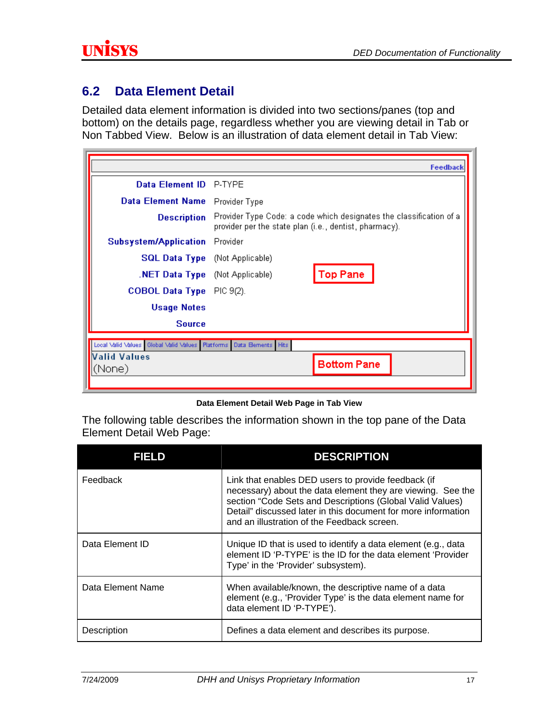### <span id="page-19-0"></span>**6.2 Data Element Detail**

Detailed data element information is divided into two sections/panes (top and bottom) on the details page, regardless whether you are viewing detail in Tab or Non Tabbed View. Below is an illustration of data element detail in Tab View:

|                                                                             | Feedback                                                                                                                      |  |
|-----------------------------------------------------------------------------|-------------------------------------------------------------------------------------------------------------------------------|--|
| <b>Data Element ID</b>                                                      | P-TYPE                                                                                                                        |  |
| <b>Data Element Name</b>                                                    | Provider Type                                                                                                                 |  |
| <b>Description</b>                                                          | Provider Type Code: a code which designates the classification of a<br>provider per the state plan (i.e., dentist, pharmacy). |  |
| Subsystem/Application                                                       | Provider                                                                                                                      |  |
| <b>SQL Data Type</b> (Not Applicable)                                       |                                                                                                                               |  |
| .NET Data Type (Not Applicable)                                             | <b>Top Pane</b>                                                                                                               |  |
| <b>COBOL Data Type</b>                                                      | PIC 9(2).                                                                                                                     |  |
| <b>Usage Notes</b>                                                          |                                                                                                                               |  |
| <b>Source</b>                                                               |                                                                                                                               |  |
| Local Valid Values   Global Valid Values   Platforms   Data Bernents   Hits |                                                                                                                               |  |
| Valid Values<br>(None)                                                      | <b>Bottom Pane</b>                                                                                                            |  |
|                                                                             |                                                                                                                               |  |

#### **Data Element Detail Web Page in Tab View**

The following table describes the information shown in the top pane of the Data Element Detail Web Page:

| FIELD             | <b>DESCRIPTION</b>                                                                                                                                                                                                                                                                              |
|-------------------|-------------------------------------------------------------------------------------------------------------------------------------------------------------------------------------------------------------------------------------------------------------------------------------------------|
| Feedback          | Link that enables DED users to provide feedback (if<br>necessary) about the data element they are viewing. See the<br>section "Code Sets and Descriptions (Global Valid Values)<br>Detail" discussed later in this document for more information<br>and an illustration of the Feedback screen. |
| Data Element ID   | Unique ID that is used to identify a data element (e.g., data<br>element ID 'P-TYPE' is the ID for the data element 'Provider<br>Type' in the 'Provider' subsystem).                                                                                                                            |
| Data Element Name | When available/known, the descriptive name of a data<br>element (e.g., 'Provider Type' is the data element name for<br>data element ID 'P-TYPE').                                                                                                                                               |
| Description       | Defines a data element and describes its purpose.                                                                                                                                                                                                                                               |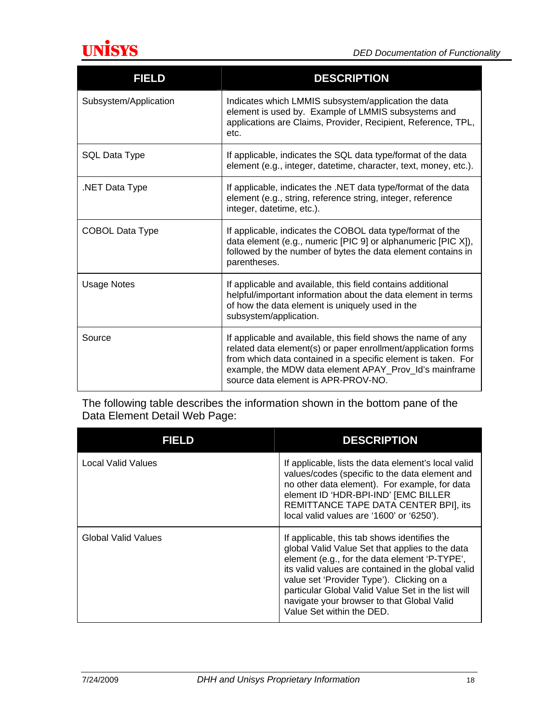

| <b>FIELD</b>           | <b>DESCRIPTION</b>                                                                                                                                                                                                                                                                               |
|------------------------|--------------------------------------------------------------------------------------------------------------------------------------------------------------------------------------------------------------------------------------------------------------------------------------------------|
| Subsystem/Application  | Indicates which LMMIS subsystem/application the data<br>element is used by. Example of LMMIS subsystems and<br>applications are Claims, Provider, Recipient, Reference, TPL,<br>etc.                                                                                                             |
| <b>SQL Data Type</b>   | If applicable, indicates the SQL data type/format of the data<br>element (e.g., integer, datetime, character, text, money, etc.).                                                                                                                                                                |
| .NET Data Type         | If applicable, indicates the .NET data type/format of the data<br>element (e.g., string, reference string, integer, reference<br>integer, datetime, etc.).                                                                                                                                       |
| <b>COBOL Data Type</b> | If applicable, indicates the COBOL data type/format of the<br>data element (e.g., numeric [PIC 9] or alphanumeric [PIC X]),<br>followed by the number of bytes the data element contains in<br>parentheses.                                                                                      |
| <b>Usage Notes</b>     | If applicable and available, this field contains additional<br>helpful/important information about the data element in terms<br>of how the data element is uniquely used in the<br>subsystem/application.                                                                                        |
| Source                 | If applicable and available, this field shows the name of any<br>related data element(s) or paper enrollment/application forms<br>from which data contained in a specific element is taken. For<br>example, the MDW data element APAY_Prov_Id's mainframe<br>source data element is APR-PROV-NO. |

The following table describes the information shown in the bottom pane of the Data Element Detail Web Page:

| FIELD               | <b>DESCRIPTION</b>                                                                                                                                                                                                                                                                                                                                                                   |
|---------------------|--------------------------------------------------------------------------------------------------------------------------------------------------------------------------------------------------------------------------------------------------------------------------------------------------------------------------------------------------------------------------------------|
| Local Valid Values  | If applicable, lists the data element's local valid<br>values/codes (specific to the data element and<br>no other data element). For example, for data<br>element ID 'HDR-BPI-IND' [EMC BILLER<br>REMITTANCE TAPE DATA CENTER BPI], its<br>local valid values are '1600' or '6250').                                                                                                 |
| Global Valid Values | If applicable, this tab shows identifies the<br>global Valid Value Set that applies to the data<br>element (e.g., for the data element 'P-TYPE',<br>its valid values are contained in the global valid<br>value set 'Provider Type'). Clicking on a<br>particular Global Valid Value Set in the list will<br>navigate your browser to that Global Valid<br>Value Set within the DED. |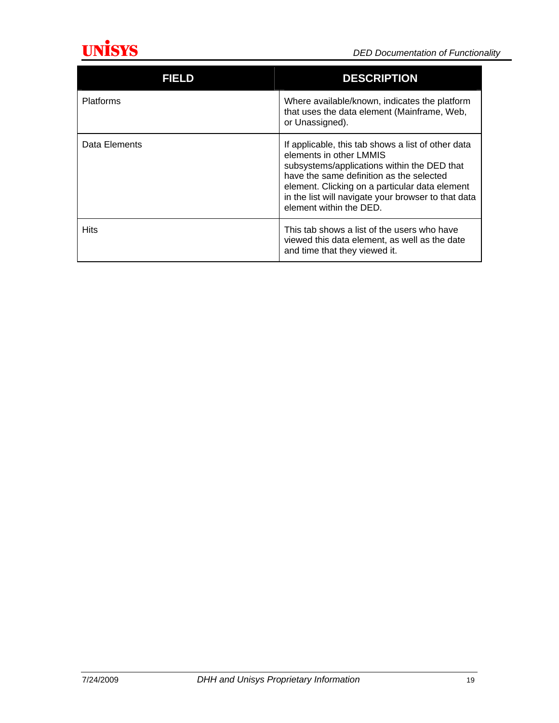

| FIELD            | <b>DESCRIPTION</b>                                                                                                                                                                                                                                                                                           |
|------------------|--------------------------------------------------------------------------------------------------------------------------------------------------------------------------------------------------------------------------------------------------------------------------------------------------------------|
| <b>Platforms</b> | Where available/known, indicates the platform<br>that uses the data element (Mainframe, Web,<br>or Unassigned).                                                                                                                                                                                              |
| Data Elements    | If applicable, this tab shows a list of other data<br>elements in other LMMIS<br>subsystems/applications within the DED that<br>have the same definition as the selected<br>element. Clicking on a particular data element<br>in the list will navigate your browser to that data<br>element within the DED. |
| <b>Hits</b>      | This tab shows a list of the users who have<br>viewed this data element, as well as the date<br>and time that they viewed it.                                                                                                                                                                                |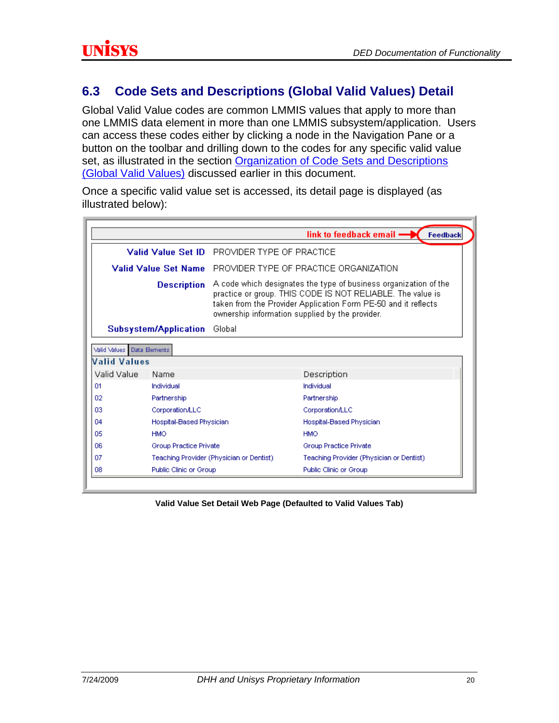### <span id="page-22-0"></span>**6.3 Code Sets and Descriptions (Global Valid Values) Detail**

Global Valid Value codes are common LMMIS values that apply to more than one LMMIS data element in more than one LMMIS subsystem/application. Users can access these codes either by clicking a node in the Navigation Pane or a button on the toolbar and drilling down to the codes for any specific valid value set, as illustrated in the section [Organization of Code Sets and Descriptions](#page-6-0)  [\(Global Valid Values\)](#page-6-0) discussed earlier in this document.

Once a specific valid value set is accessed, its detail page is displayed (as illustrated below):

|              |                              |                                                                                                                                                                                                                                                     | link to feedback email -<br>Feedback     |
|--------------|------------------------------|-----------------------------------------------------------------------------------------------------------------------------------------------------------------------------------------------------------------------------------------------------|------------------------------------------|
|              |                              | Valid Value Set ID PROVIDER TYPE OF PRACTICE                                                                                                                                                                                                        |                                          |
|              | Valid Value Set Name         |                                                                                                                                                                                                                                                     | - PROVIDER TYPE OF PRACTICE ORGANIZATION |
|              | <b>Description</b>           | A code which designates the type of business organization of the<br>practice or group. THIS CODE IS NOT RELIABLE. The value is<br>taken from the Provider Application Form PE-50 and it reflects<br>ownership information supplied by the provider. |                                          |
|              | <b>Subsystem/Application</b> | Global                                                                                                                                                                                                                                              |                                          |
| Valid Values | Data Bements                 |                                                                                                                                                                                                                                                     |                                          |
| Valid Values |                              |                                                                                                                                                                                                                                                     |                                          |
| Valid Value  | Name                         |                                                                                                                                                                                                                                                     | Description                              |
| 01           | Individual                   |                                                                                                                                                                                                                                                     | Individual                               |
| 02           | Partnership                  |                                                                                                                                                                                                                                                     | Partnership                              |
| 03           | Corporation/LLC              |                                                                                                                                                                                                                                                     | Corporation/LLC                          |
| 04           | Hospital-Based Physician     |                                                                                                                                                                                                                                                     | Hospital-Based Physician                 |
| 05           | <b>HMO</b>                   |                                                                                                                                                                                                                                                     | <b>HMO</b>                               |
| 06           | Group Practice Private       |                                                                                                                                                                                                                                                     | Group Practice Private                   |
| 07           |                              | Teaching Provider (Physician or Dentist)                                                                                                                                                                                                            | Teaching Provider (Physician or Dentist) |
| 08           | Public Clinic or Group       |                                                                                                                                                                                                                                                     | Public Clinic or Group                   |

**Valid Value Set Detail Web Page (Defaulted to Valid Values Tab)**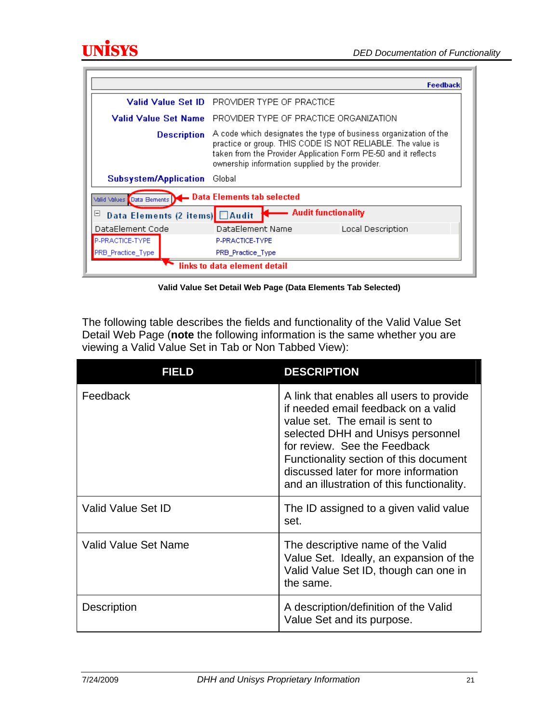

|                                                               |                                                                                                                                                                                                                                                     | Feedback          |
|---------------------------------------------------------------|-----------------------------------------------------------------------------------------------------------------------------------------------------------------------------------------------------------------------------------------------------|-------------------|
| Valid Value Set ID                                            | PROVIDER TYPE OF PRACTICE                                                                                                                                                                                                                           |                   |
| Valid Value Set Name                                          | PROVIDER TYPE OF PRACTICE ORGANIZATION                                                                                                                                                                                                              |                   |
| <b>Description</b>                                            | A code which designates the type of business organization of the<br>practice or group. THIS CODE IS NOT RELIABLE. The value is<br>taken from the Provider Application Form PE-50 and it reflects<br>ownership information supplied by the provider. |                   |
| <b>Subsystem/Application</b>                                  | Global                                                                                                                                                                                                                                              |                   |
| Valid Values Data Bements   - Data Elements tab selected      |                                                                                                                                                                                                                                                     |                   |
| - Audit functionality<br>Data Elements (2 items) △ Audit<br>⊟ |                                                                                                                                                                                                                                                     |                   |
| DataElement Code                                              | DataElement Name                                                                                                                                                                                                                                    | Local Description |
| P-PRACTICE-TYPE                                               | P-PRACTICE-TYPE                                                                                                                                                                                                                                     |                   |
| PRB_Practice_Type                                             | PRB_Practice_Type                                                                                                                                                                                                                                   |                   |
| links to data element detail                                  |                                                                                                                                                                                                                                                     |                   |

**Valid Value Set Detail Web Page (Data Elements Tab Selected)** 

The following table describes the fields and functionality of the Valid Value Set Detail Web Page (**note** the following information is the same whether you are viewing a Valid Value Set in Tab or Non Tabbed View):

| <b>FIELD</b>         | <b>DESCRIPTION</b>                                                                                                                                                                                                                                                                                                      |
|----------------------|-------------------------------------------------------------------------------------------------------------------------------------------------------------------------------------------------------------------------------------------------------------------------------------------------------------------------|
| Feedback             | A link that enables all users to provide<br>if needed email feedback on a valid<br>value set. The email is sent to<br>selected DHH and Unisys personnel<br>for review. See the Feedback<br>Functionality section of this document<br>discussed later for more information<br>and an illustration of this functionality. |
| Valid Value Set ID   | The ID assigned to a given valid value<br>set.                                                                                                                                                                                                                                                                          |
| Valid Value Set Name | The descriptive name of the Valid<br>Value Set. Ideally, an expansion of the<br>Valid Value Set ID, though can one in<br>the same.                                                                                                                                                                                      |
| Description          | A description/definition of the Valid<br>Value Set and its purpose.                                                                                                                                                                                                                                                     |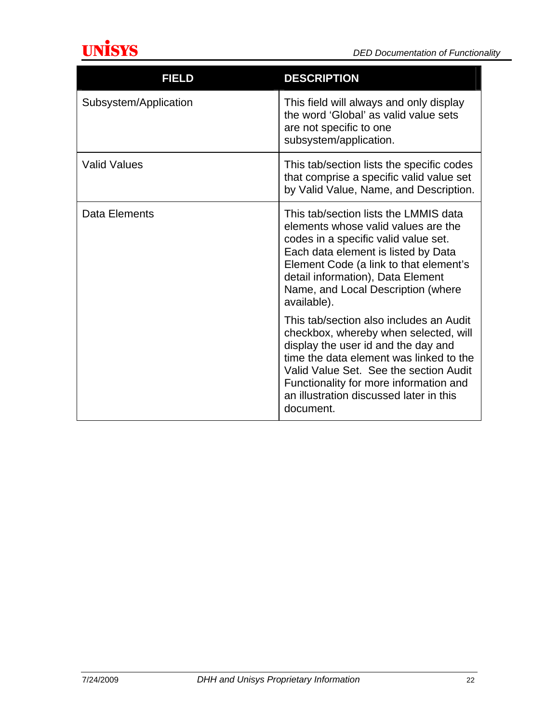

| <b>FIELD</b>          | <b>DESCRIPTION</b>                                                                                                                                                                                                                                                                                             |
|-----------------------|----------------------------------------------------------------------------------------------------------------------------------------------------------------------------------------------------------------------------------------------------------------------------------------------------------------|
| Subsystem/Application | This field will always and only display<br>the word 'Global' as valid value sets<br>are not specific to one<br>subsystem/application.                                                                                                                                                                          |
| <b>Valid Values</b>   | This tab/section lists the specific codes<br>that comprise a specific valid value set<br>by Valid Value, Name, and Description.                                                                                                                                                                                |
| Data Elements         | This tab/section lists the LMMIS data<br>elements whose valid values are the<br>codes in a specific valid value set.<br>Each data element is listed by Data<br>Element Code (a link to that element's<br>detail information), Data Element<br>Name, and Local Description (where<br>available).                |
|                       | This tab/section also includes an Audit<br>checkbox, whereby when selected, will<br>display the user id and the day and<br>time the data element was linked to the<br>Valid Value Set. See the section Audit<br>Functionality for more information and<br>an illustration discussed later in this<br>document. |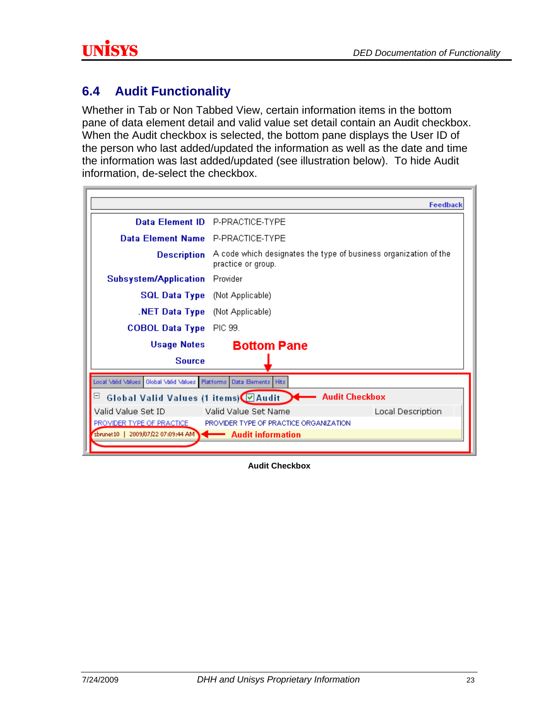### <span id="page-25-0"></span>**6.4 Audit Functionality**

Whether in Tab or Non Tabbed View, certain information items in the bottom pane of data element detail and valid value set detail contain an Audit checkbox. When the Audit checkbox is selected, the bottom pane displays the User ID of the person who last added/updated the information as well as the date and time the information was last added/updated (see illustration below). To hide Audit information, de-select the checkbox.

|                                                                    | <b>Feedback</b>                                                                        |
|--------------------------------------------------------------------|----------------------------------------------------------------------------------------|
|                                                                    | Data Element ID P-PRACTICE-TYPE                                                        |
| Data Element Name P-PRACTICE-TYPE                                  |                                                                                        |
| <b>Description</b>                                                 | A code which designates the type of business organization of the<br>practice or group. |
| <b>Subsystem/Application</b>                                       | Provider                                                                               |
| <b>SQL Data Type</b> (Not Applicable)                              |                                                                                        |
| <b>NET Data Type</b> (Not Applicable)                              |                                                                                        |
| <b>COBOL Data Type</b>                                             | PIC 99.                                                                                |
| <b>Usage Notes</b>                                                 | <b>Bottom Pane</b>                                                                     |
| <b>Source</b>                                                      |                                                                                        |
| Local Valid Values   Global Valid Values                           | Platforms Data Bements Hits                                                            |
| ⊟                                                                  | Global Valid Values (1 items) 4 Audit 7 Audit Checkbox                                 |
| Valid Value Set ID                                                 | Local Description<br>-Valid Value Set Name                                             |
| PROVIDER TYPE OF PRACTICE                                          | PROVIDER TYPE OF PRACTICE ORGANIZATION                                                 |
| sbrunet10   2009/07/22 07:09:44 AM $\rightarrow$ Audit information |                                                                                        |
|                                                                    |                                                                                        |

**Audit Checkbox**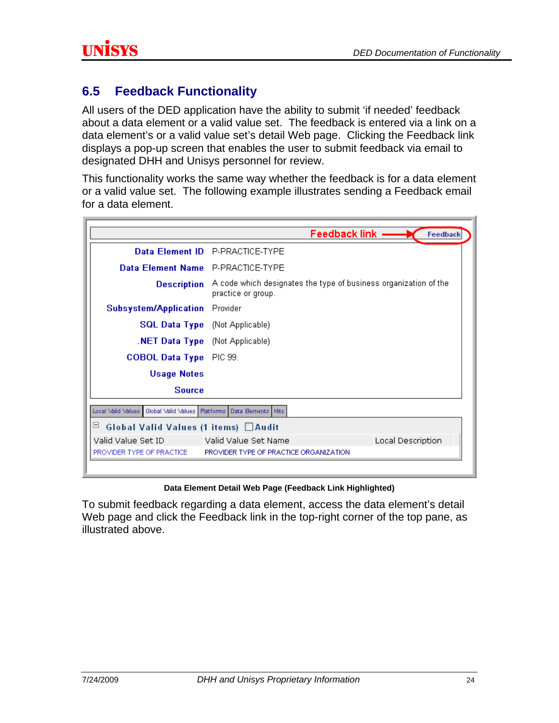### <span id="page-26-0"></span>**6.5 Feedback Functionality**

All users of the DED application have the ability to submit 'if needed' feedback about a data element or a valid value set. The feedback is entered via a link on a data element's or a valid value set's detail Web page. Clicking the Feedback link displays a pop-up screen that enables the user to submit feedback via email to designated DHH and Unisys personnel for review.

This functionality works the same way whether the feedback is for a data element or a valid value set. The following example illustrates sending a Feedback email for a data element.

| Data Element ID P-PRACTICE-TYPE<br>Data Element Name P-PRACTICE-TYPE<br>A code which designates the type of business organization of the<br>practice or group. |
|----------------------------------------------------------------------------------------------------------------------------------------------------------------|
|                                                                                                                                                                |
|                                                                                                                                                                |
|                                                                                                                                                                |
| Provider                                                                                                                                                       |
| <b>SQL Data Type</b> (Not Applicable)                                                                                                                          |
| <b>NET Data Type</b> (Not Applicable)                                                                                                                          |
| COBOL Data Type PIC 99.                                                                                                                                        |
|                                                                                                                                                                |
|                                                                                                                                                                |
| Global Valid Values   Platforms   Data Bements   Hits                                                                                                          |
| Global Valid Values (1 items) □ Audit                                                                                                                          |
| Valid Value Set Name<br>Local Description<br>PROVIDER TYPE OF PRACTICE ORGANIZATION                                                                            |
|                                                                                                                                                                |

#### **Data Element Detail Web Page (Feedback Link Highlighted)**

To submit feedback regarding a data element, access the data element's detail Web page and click the Feedback link in the top-right corner of the top pane, as illustrated above.